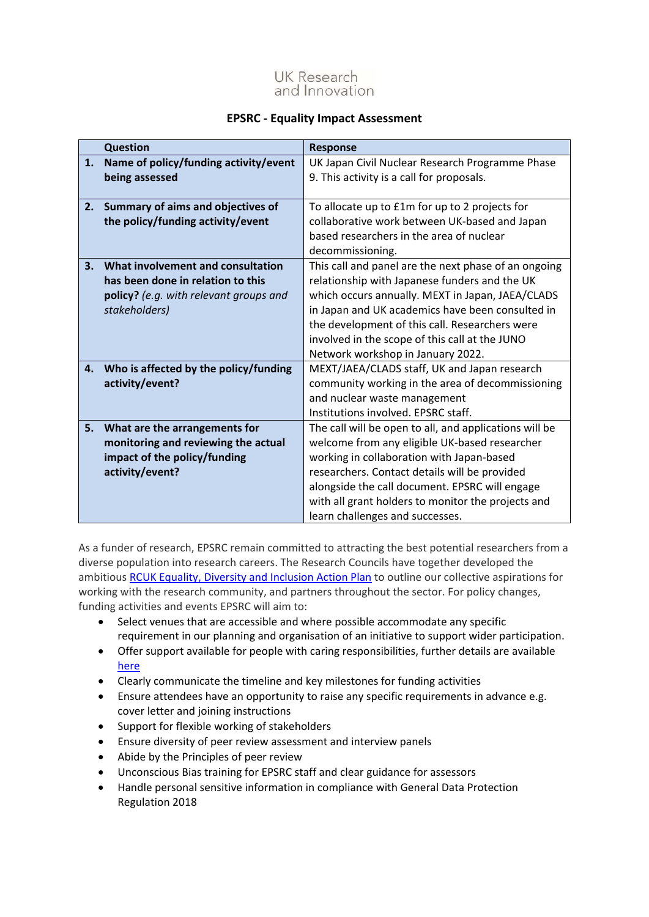

## **EPSRC - Equality Impact Assessment**

|    | <b>Question</b>                        | <b>Response</b>                                        |
|----|----------------------------------------|--------------------------------------------------------|
| 1. | Name of policy/funding activity/event  | UK Japan Civil Nuclear Research Programme Phase        |
|    | being assessed                         | 9. This activity is a call for proposals.              |
|    |                                        |                                                        |
| 2. | Summary of aims and objectives of      | To allocate up to £1m for up to 2 projects for         |
|    | the policy/funding activity/event      | collaborative work between UK-based and Japan          |
|    |                                        | based researchers in the area of nuclear               |
|    |                                        | decommissioning.                                       |
| 3. | What involvement and consultation      | This call and panel are the next phase of an ongoing   |
|    | has been done in relation to this      | relationship with Japanese funders and the UK          |
|    | policy? (e.g. with relevant groups and | which occurs annually. MEXT in Japan, JAEA/CLADS       |
|    | stakeholders)                          | in Japan and UK academics have been consulted in       |
|    |                                        | the development of this call. Researchers were         |
|    |                                        | involved in the scope of this call at the JUNO         |
|    |                                        | Network workshop in January 2022.                      |
| 4. | Who is affected by the policy/funding  | MEXT/JAEA/CLADS staff, UK and Japan research           |
|    | activity/event?                        | community working in the area of decommissioning       |
|    |                                        | and nuclear waste management                           |
|    |                                        | Institutions involved. EPSRC staff.                    |
| 5. | What are the arrangements for          | The call will be open to all, and applications will be |
|    | monitoring and reviewing the actual    | welcome from any eligible UK-based researcher          |
|    | impact of the policy/funding           | working in collaboration with Japan-based              |
|    | activity/event?                        | researchers. Contact details will be provided          |
|    |                                        | alongside the call document. EPSRC will engage         |
|    |                                        | with all grant holders to monitor the projects and     |
|    |                                        | learn challenges and successes.                        |

As a funder of research, EPSRC remain committed to attracting the best potential researchers from a diverse population into research careers. The Research Councils have together developed the ambitious [RCUK Equality, Diversity and Inclusion Action Plan](https://epsrc.ukri.org/links/councils/uk-research-and-innovation-ukri/diversity-ukri/) to outline our collective aspirations for working with the research community, and partners throughout the sector. For policy changes, funding activities and events EPSRC will aim to:

- Select venues that are accessible and where possible accommodate any specific requirement in our planning and organisation of an initiative to support wider participation.
- Offer support available for people with caring responsibilities, further details are available [here](https://epsrc.ukri.org/funding/applicationprocess/basics/caringresponsibilities/)
- Clearly communicate the timeline and key milestones for funding activities
- Ensure attendees have an opportunity to raise any specific requirements in advance e.g. cover letter and joining instructions
- Support for flexible working of stakeholders
- Ensure diversity of peer review assessment and interview panels
- Abide by the Principles of peer review
- Unconscious Bias training for EPSRC staff and clear guidance for assessors
- Handle personal sensitive information in compliance with General Data Protection Regulation 2018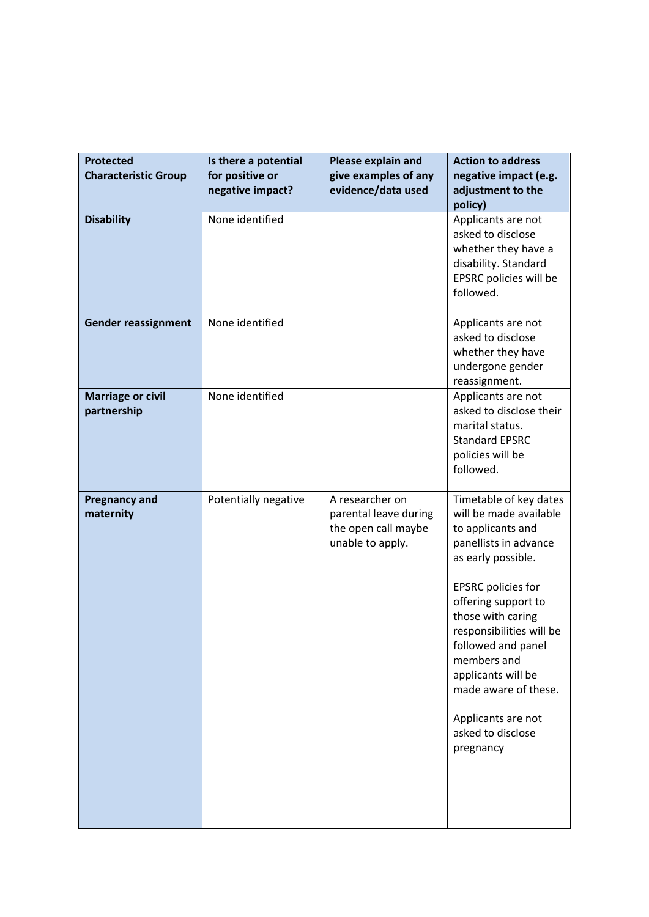| <b>Protected</b><br><b>Characteristic Group</b> | Is there a potential<br>for positive or<br>negative impact? | Please explain and<br>give examples of any<br>evidence/data used                    | <b>Action to address</b><br>negative impact (e.g.<br>adjustment to the<br>policy)                                                                                                                                                                                                                                                                                    |
|-------------------------------------------------|-------------------------------------------------------------|-------------------------------------------------------------------------------------|----------------------------------------------------------------------------------------------------------------------------------------------------------------------------------------------------------------------------------------------------------------------------------------------------------------------------------------------------------------------|
| <b>Disability</b>                               | None identified                                             |                                                                                     | Applicants are not<br>asked to disclose<br>whether they have a<br>disability. Standard<br>EPSRC policies will be<br>followed.                                                                                                                                                                                                                                        |
| <b>Gender reassignment</b>                      | None identified                                             |                                                                                     | Applicants are not<br>asked to disclose<br>whether they have<br>undergone gender<br>reassignment.                                                                                                                                                                                                                                                                    |
| <b>Marriage or civil</b><br>partnership         | None identified                                             |                                                                                     | Applicants are not<br>asked to disclose their<br>marital status.<br><b>Standard EPSRC</b><br>policies will be<br>followed.                                                                                                                                                                                                                                           |
| <b>Pregnancy and</b><br>maternity               | Potentially negative                                        | A researcher on<br>parental leave during<br>the open call maybe<br>unable to apply. | Timetable of key dates<br>will be made available<br>to applicants and<br>panellists in advance<br>as early possible.<br><b>EPSRC</b> policies for<br>offering support to<br>those with caring<br>responsibilities will be<br>followed and panel<br>members and<br>applicants will be<br>made aware of these.<br>Applicants are not<br>asked to disclose<br>pregnancy |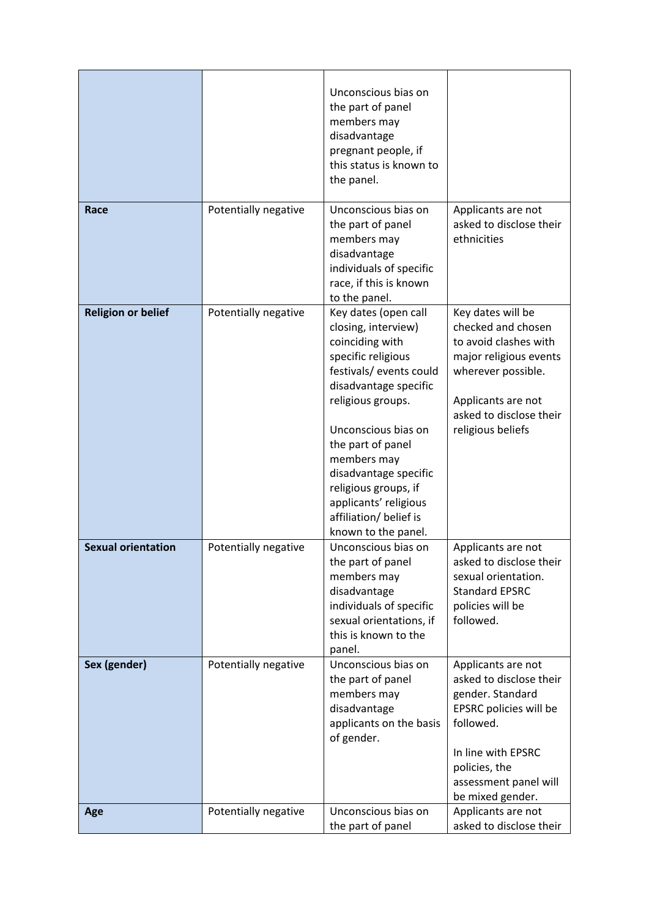|                           |                      | Unconscious bias on<br>the part of panel<br>members may<br>disadvantage<br>pregnant people, if<br>this status is known to<br>the panel.                                                                                                                                                                                                             |                                                                                                                                                                                        |
|---------------------------|----------------------|-----------------------------------------------------------------------------------------------------------------------------------------------------------------------------------------------------------------------------------------------------------------------------------------------------------------------------------------------------|----------------------------------------------------------------------------------------------------------------------------------------------------------------------------------------|
| Race                      | Potentially negative | Unconscious bias on<br>the part of panel<br>members may<br>disadvantage<br>individuals of specific<br>race, if this is known<br>to the panel.                                                                                                                                                                                                       | Applicants are not<br>asked to disclose their<br>ethnicities                                                                                                                           |
| <b>Religion or belief</b> | Potentially negative | Key dates (open call<br>closing, interview)<br>coinciding with<br>specific religious<br>festivals/ events could<br>disadvantage specific<br>religious groups.<br>Unconscious bias on<br>the part of panel<br>members may<br>disadvantage specific<br>religious groups, if<br>applicants' religious<br>affiliation/ belief is<br>known to the panel. | Key dates will be<br>checked and chosen<br>to avoid clashes with<br>major religious events<br>wherever possible.<br>Applicants are not<br>asked to disclose their<br>religious beliefs |
| <b>Sexual orientation</b> | Potentially negative | Unconscious bias on<br>the part of panel<br>members may<br>disadvantage<br>individuals of specific<br>sexual orientations, if<br>this is known to the<br>panel.                                                                                                                                                                                     | Applicants are not<br>asked to disclose their<br>sexual orientation.<br><b>Standard EPSRC</b><br>policies will be<br>followed.                                                         |
| Sex (gender)              | Potentially negative | Unconscious bias on<br>Applicants are not<br>asked to disclose their<br>the part of panel<br>members may<br>gender. Standard<br>disadvantage<br>EPSRC policies will be<br>followed.<br>applicants on the basis<br>of gender.<br>In line with EPSRC<br>policies, the<br>assessment panel will<br>be mixed gender.                                    |                                                                                                                                                                                        |
| Age                       | Potentially negative | Unconscious bias on<br>the part of panel                                                                                                                                                                                                                                                                                                            | Applicants are not<br>asked to disclose their                                                                                                                                          |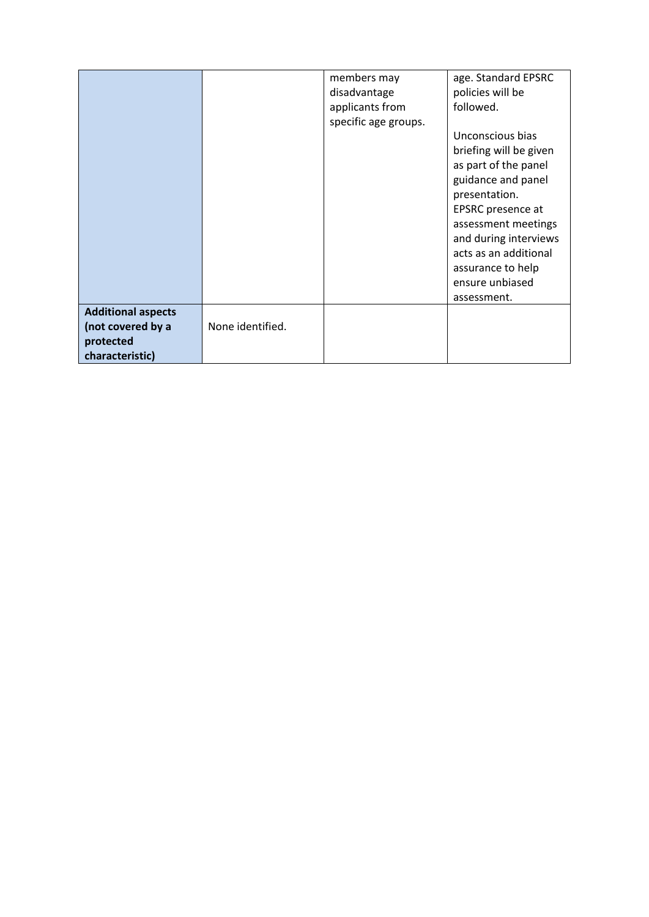|                           |                  | members may          | age. Standard EPSRC    |
|---------------------------|------------------|----------------------|------------------------|
|                           |                  | disadvantage         | policies will be       |
|                           |                  | applicants from      | followed.              |
|                           |                  | specific age groups. |                        |
|                           |                  |                      | Unconscious bias       |
|                           |                  |                      | briefing will be given |
|                           |                  |                      | as part of the panel   |
|                           |                  |                      | guidance and panel     |
|                           |                  |                      | presentation.          |
|                           |                  |                      | EPSRC presence at      |
|                           |                  |                      |                        |
|                           |                  |                      | assessment meetings    |
|                           |                  |                      | and during interviews  |
|                           |                  |                      | acts as an additional  |
|                           |                  |                      | assurance to help      |
|                           |                  |                      | ensure unbiased        |
|                           |                  |                      | assessment.            |
| <b>Additional aspects</b> |                  |                      |                        |
| (not covered by a         | None identified. |                      |                        |
| protected                 |                  |                      |                        |
| characteristic)           |                  |                      |                        |
|                           |                  |                      |                        |